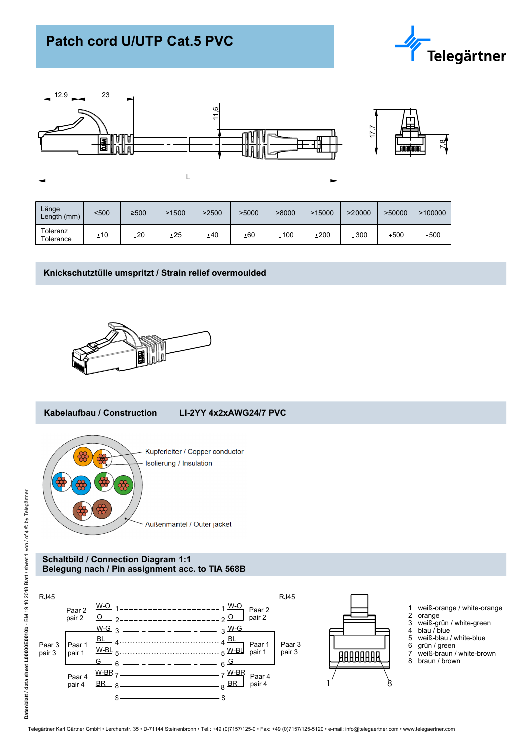# **Patch cord U/UTP Cat.5 PVC**





| Länge<br>Length (mm)  | <500 | ≥500 | -1500 | >2500 | >5000 | >8000 | >15000 | >20000 | >50000 | >100000 |
|-----------------------|------|------|-------|-------|-------|-------|--------|--------|--------|---------|
| Toleranz<br>Tolerance | ±10  | ±20  | ±25   | ±40   | ±60   | ±100  | ±200   | ±300   | ±500   | ±500    |

## **Knickschutztülle umspritzt / Strain relief overmoulded**



#### **Kabelaufbau / Construction LI-2YY 4x2xAWG24/7 PVC**



Außenmantel / Outer jacket

### **Schaltbild / Connection Diagram 1:1 Belegung nach / Pin assignment acc. to TIA 568B**



- 1 weiß-orange / white-orange
- 
- 3 weiß-grün / white-green
- 4 blau / blue
- 
- 6 grün / green
- 7 weiß-braun / white-brown
-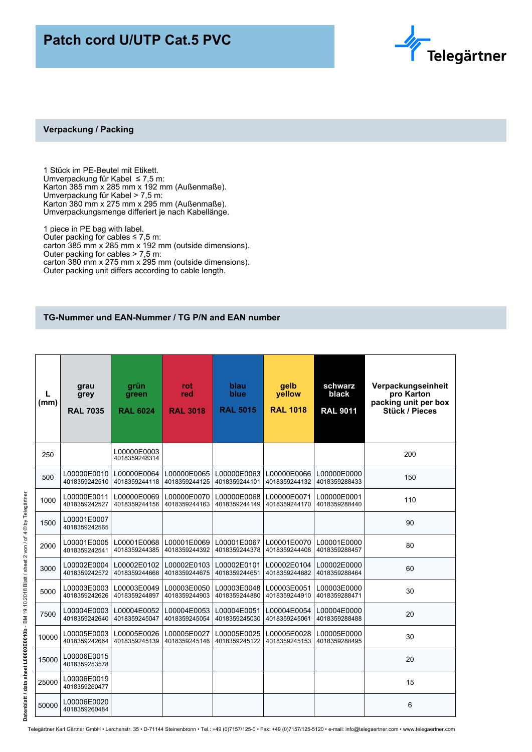## **Patch cord U/UTP Cat.5 PVC**



## **Verpackung / Packing**

1 Stück im PE-Beutel mit Etikett. Umverpackung für Kabel ≤ 7,5 m: Karton 385 mm x 285 mm x 192 mm (Außenmaße). Umverpackung für Kabel > 7,5 m: Karton 380 mm x 275 mm x 295 mm (Außenmaße). Umverpackungsmenge differiert je nach Kabellänge.

1 piece in PE bag with label. Outer packing for cables  $\leq 7.5$  m: carton 385 mm x 285 mm x 192 mm (outside dimensions). Outer packing for cables > 7,5 m: carton 380 mm x 275 mm x 295 mm (outside dimensions). Outer packing unit differs according to cable length.

## **TG-Nummer und EAN-Nummer / TG P/N and EAN number**

| L<br>(mm) | grau<br>grey<br><b>RAL 7035</b> | grün<br>green<br><b>RAL 6024</b> | rot<br>red<br><b>RAL 3018</b> | blau<br>blue<br><b>RAL 5015</b> | gelb<br>vellow<br><b>RAL 1018</b> | schwarz<br>black<br><b>RAL 9011</b> | Verpackungseinheit<br>pro Karton<br>packing unit per box<br>Stück / Pieces |
|-----------|---------------------------------|----------------------------------|-------------------------------|---------------------------------|-----------------------------------|-------------------------------------|----------------------------------------------------------------------------|
| 250       |                                 | L00000E0003<br>4018359248314     |                               |                                 |                                   |                                     | 200                                                                        |
| 500       | L00000E0010<br>4018359242510    | L00000E0064<br>4018359244118     | L00000E0065<br>4018359244125  | L00000E0063<br>4018359244101    | L00000E0066<br>4018359244132      | L00000E0000<br>4018359288433        | 150                                                                        |
| 1000      | L00000E0011<br>4018359242527    | L00000E0069<br>4018359244156     | L00000E0070<br>4018359244163  | L00000E0068<br>4018359244149    | L00000E0071<br>4018359244170      | L00000E0001<br>4018359288440        | 110                                                                        |
| 1500      | L00001E0007<br>4018359242565    |                                  |                               |                                 |                                   |                                     | 90                                                                         |
| 2000      | L00001E0005<br>4018359242541    | L00001E0068<br>4018359244385     | L00001E0069<br>4018359244392  | L00001E0067<br>4018359244378    | L00001E0070<br>4018359244408      | L00001E0000<br>4018359288457        | 80                                                                         |
| 3000      | L00002E0004<br>4018359242572    | L00002E0102<br>4018359244668     | L00002E0103<br>4018359244675  | L00002E0101<br>4018359244651    | L00002E0104<br>4018359244682      | L00002E0000<br>4018359288464        | 60                                                                         |
| 5000      | L00003E0003<br>4018359242626    | L00003E0049<br>4018359244897     | L00003E0050<br>4018359244903  | L00003E0048<br>4018359244880    | L00003E0051<br>4018359244910      | L00003E0000<br>4018359288471        | 30                                                                         |
| 7500      | L00004E0003<br>4018359242640    | L00004E0052<br>4018359245047     | L00004E0053<br>4018359245054  | L00004E0051<br>4018359245030    | L00004E0054<br>4018359245061      | L00004E0000<br>4018359288488        | 20                                                                         |
| 10000     | L00005E0003<br>4018359242664    | L00005E0026<br>4018359245139     | L00005E0027<br>4018359245146  | L00005E0025<br>4018359245122    | L00005E0028<br>4018359245153      | L00005E0000<br>4018359288495        | 30                                                                         |
| 15000     | L00006E0015<br>4018359253578    |                                  |                               |                                 |                                   |                                     | 20                                                                         |
| 25000     | L00006E0019<br>4018359260477    |                                  |                               |                                 |                                   |                                     | 15                                                                         |
| 50000     | L00006E0020<br>4018359260484    |                                  |                               |                                 |                                   |                                     | 6                                                                          |

Telegärtner Karl Gärtner GmbH • Lerchenstr. 35 • D-71144 Steinenbronn • Tel.: +49 (0)7157/125-0 • Fax: +49 (0)7157/125-5120 • e-mail: info@telegaertner.com • www.telegaertner.com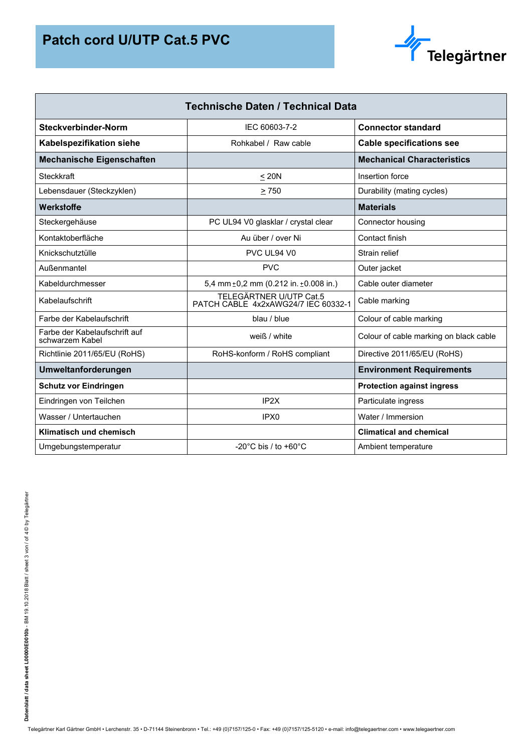

| <b>Technische Daten / Technical Data</b>         |                                                                |                                        |  |  |  |  |
|--------------------------------------------------|----------------------------------------------------------------|----------------------------------------|--|--|--|--|
| Steckverbinder-Norm                              | IEC 60603-7-2                                                  | <b>Connector standard</b>              |  |  |  |  |
| <b>Kabelspezifikation siehe</b>                  | Rohkabel / Raw cable                                           | <b>Cable specifications see</b>        |  |  |  |  |
| <b>Mechanische Eigenschaften</b>                 |                                                                | <b>Mechanical Characteristics</b>      |  |  |  |  |
| Steckkraft                                       | < 20N                                                          | Insertion force                        |  |  |  |  |
| Lebensdauer (Steckzyklen)                        | > 750                                                          | Durability (mating cycles)             |  |  |  |  |
| Werkstoffe                                       |                                                                | <b>Materials</b>                       |  |  |  |  |
| Steckergehäuse                                   | PC UL94 V0 glasklar / crystal clear                            | Connector housing                      |  |  |  |  |
| Kontaktoberfläche                                | Au über / over Ni                                              | Contact finish                         |  |  |  |  |
| Knickschutztülle                                 | PVC UL94 V0                                                    | Strain relief                          |  |  |  |  |
| Außenmantel                                      | <b>PVC</b>                                                     | Outer jacket                           |  |  |  |  |
| Kabeldurchmesser                                 | 5,4 mm $\pm$ 0,2 mm (0.212 in. $\pm$ 0.008 in.)                | Cable outer diameter                   |  |  |  |  |
| Kabelaufschrift                                  | TELEGÄRTNER U/UTP Cat.5<br>PATCH CABLE 4x2xAWG24/7 IEC 60332-1 | Cable marking                          |  |  |  |  |
| Farbe der Kabelaufschrift                        | blau / blue                                                    | Colour of cable marking                |  |  |  |  |
| Farbe der Kabelaufschrift auf<br>schwarzem Kabel | weiß / white                                                   | Colour of cable marking on black cable |  |  |  |  |
| Richtlinie 2011/65/EU (RoHS)                     | RoHS-konform / RoHS compliant                                  | Directive 2011/65/EU (RoHS)            |  |  |  |  |
| Umweltanforderungen                              |                                                                | <b>Environment Requirements</b>        |  |  |  |  |
| <b>Schutz vor Eindringen</b>                     |                                                                | <b>Protection against ingress</b>      |  |  |  |  |
| Eindringen von Teilchen                          | IP <sub>2X</sub>                                               | Particulate ingress                    |  |  |  |  |
| Wasser / Untertauchen                            | IPX <sub>0</sub>                                               | Water / Immersion                      |  |  |  |  |
| Klimatisch und chemisch                          |                                                                | <b>Climatical and chemical</b>         |  |  |  |  |
| Umgebungstemperatur                              | -20 $^{\circ}$ C bis / to +60 $^{\circ}$ C                     | Ambient temperature                    |  |  |  |  |